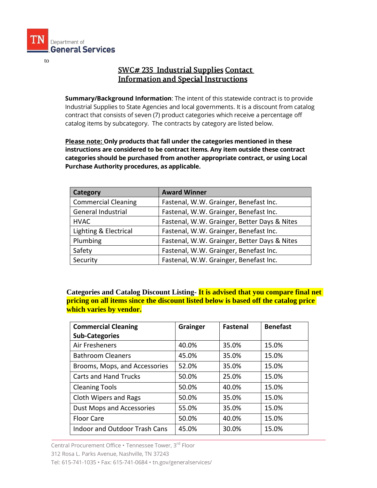

to

# **SWC# 235 Industrial Supplies Contact Information and Special Instructions**

**Summary/Background Information**: The intent of this statewide contract is to provide Industrial Supplies to State Agencies and local governments. It is a discount from catalog contract that consists of seven (7) product categories which receive a percentage off catalog items by subcategory. The contracts by category are listed below.

**Please note: Only products that fall under the categories mentioned in these instructions are considered to be contract items. Any item outside these contract categories should be purchased from another appropriate contract, or using Local Purchase Authority procedures, as applicable.**

| Category                   | <b>Award Winner</b>                          |
|----------------------------|----------------------------------------------|
| <b>Commercial Cleaning</b> | Fastenal, W.W. Grainger, Benefast Inc.       |
| General Industrial         | Fastenal, W.W. Grainger, Benefast Inc.       |
| <b>HVAC</b>                | Fastenal, W.W. Grainger, Better Days & Nites |
| Lighting & Electrical      | Fastenal, W.W. Grainger, Benefast Inc.       |
| Plumbing                   | Fastenal, W.W. Grainger, Better Days & Nites |
| Safety                     | Fastenal, W.W. Grainger, Benefast Inc.       |
| Security                   | Fastenal, W.W. Grainger, Benefast Inc.       |

**Categories and Catalog Discount Listing- It is advised that you compare final net pricing on all items since the discount listed below is based off the catalog price which varies by vendor.**

| <b>Commercial Cleaning</b>           | Grainger | <b>Fastenal</b> | <b>Benefast</b> |
|--------------------------------------|----------|-----------------|-----------------|
| <b>Sub-Categories</b>                |          |                 |                 |
| Air Fresheners                       | 40.0%    | 35.0%           | 15.0%           |
| <b>Bathroom Cleaners</b>             | 45.0%    | 35.0%           | 15.0%           |
| Brooms, Mops, and Accessories        | 52.0%    | 35.0%           | 15.0%           |
| <b>Carts and Hand Trucks</b>         | 50.0%    | 25.0%           | 15.0%           |
| <b>Cleaning Tools</b>                | 50.0%    | 40.0%           | 15.0%           |
| Cloth Wipers and Rags                | 50.0%    | 35.0%           | 15.0%           |
| <b>Dust Mops and Accessories</b>     | 55.0%    | 35.0%           | 15.0%           |
| <b>Floor Care</b>                    | 50.0%    | 40.0%           | 15.0%           |
| <b>Indoor and Outdoor Trash Cans</b> | 45.0%    | 30.0%           | 15.0%           |

Central Procurement Office • Tennessee Tower, 3<sup>rd</sup> Floor 312 Rosa L. Parks Avenue, Nashville, TN 37243 Tel: 615-741-1035 • Fax: 615-741-0684 • tn.gov/generalservices/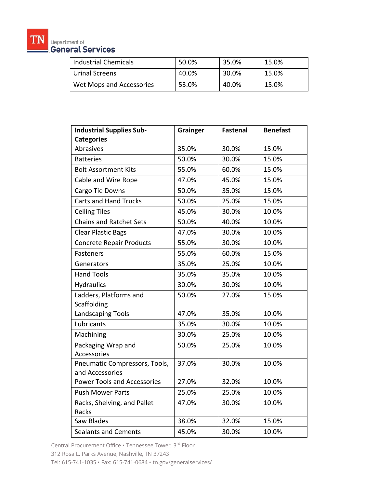

| Industrial Chemicals     | 50.0% | 35.0% | 15.0% |
|--------------------------|-------|-------|-------|
| Urinal Screens           | 40.0% | 30.0% | 15.0% |
| Wet Mops and Accessories | 53.0% | 40.0% | 15.0% |

| <b>Industrial Supplies Sub-</b>                  | <b>Grainger</b> | <b>Fastenal</b> | <b>Benefast</b> |
|--------------------------------------------------|-----------------|-----------------|-----------------|
| <b>Categories</b>                                |                 |                 |                 |
| Abrasives                                        | 35.0%           | 30.0%           | 15.0%           |
| <b>Batteries</b>                                 | 50.0%           | 30.0%           | 15.0%           |
| <b>Bolt Assortment Kits</b>                      | 55.0%           | 60.0%           | 15.0%           |
| Cable and Wire Rope                              | 47.0%           | 45.0%           | 15.0%           |
| Cargo Tie Downs                                  | 50.0%           | 35.0%           | 15.0%           |
| <b>Carts and Hand Trucks</b>                     | 50.0%           | 25.0%           | 15.0%           |
| <b>Ceiling Tiles</b>                             | 45.0%           | 30.0%           | 10.0%           |
| <b>Chains and Ratchet Sets</b>                   | 50.0%           | 40.0%           | 10.0%           |
| <b>Clear Plastic Bags</b>                        | 47.0%           | 30.0%           | 10.0%           |
| <b>Concrete Repair Products</b>                  | 55.0%           | 30.0%           | 10.0%           |
| <b>Fasteners</b>                                 | 55.0%           | 60.0%           | 15.0%           |
| Generators                                       | 35.0%           | 25.0%           | 10.0%           |
| <b>Hand Tools</b>                                | 35.0%           | 35.0%           | 10.0%           |
| <b>Hydraulics</b>                                | 30.0%           | 30.0%           | 10.0%           |
| Ladders, Platforms and<br>Scaffolding            | 50.0%           | 27.0%           | 15.0%           |
| <b>Landscaping Tools</b>                         | 47.0%           | 35.0%           | 10.0%           |
| Lubricants                                       | 35.0%           | 30.0%           | 10.0%           |
| Machining                                        | 30.0%           | 25.0%           | 10.0%           |
| Packaging Wrap and<br>Accessories                | 50.0%           | 25.0%           | 10.0%           |
| Pneumatic Compressors, Tools,<br>and Accessories | 37.0%           | 30.0%           | 10.0%           |
| <b>Power Tools and Accessories</b>               | 27.0%           | 32.0%           | 10.0%           |
| <b>Push Mower Parts</b>                          | 25.0%           | 25.0%           | 10.0%           |
| Racks, Shelving, and Pallet<br>Racks             | 47.0%           | 30.0%           | 10.0%           |
| Saw Blades                                       | 38.0%           | 32.0%           | 15.0%           |
| <b>Sealants and Cements</b>                      | 45.0%           | 30.0%           | 10.0%           |

Central Procurement Office • Tennessee Tower, 3<sup>rd</sup> Floor

312 Rosa L. Parks Avenue, Nashville, TN 37243

Tel: 615-741-1035 • Fax: 615-741-0684 • tn.gov/generalservices/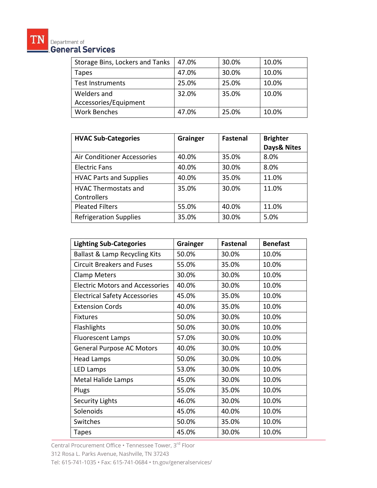

| Storage Bins, Lockers and Tanks | 47.0% | 30.0% | 10.0% |
|---------------------------------|-------|-------|-------|
| Tapes                           | 47.0% | 30.0% | 10.0% |
| <b>Test Instruments</b>         | 25.0% | 25.0% | 10.0% |
| Welders and                     | 32.0% | 35.0% | 10.0% |
| Accessories/Equipment           |       |       |       |
| <b>Work Benches</b>             | 47.0% | 25.0% | 10.0% |

| <b>HVAC Sub-Categories</b>     | Grainger | <b>Fastenal</b> | <b>Brighter</b> |
|--------------------------------|----------|-----------------|-----------------|
|                                |          |                 | Days& Nites     |
| Air Conditioner Accessories    | 40.0%    | 35.0%           | 8.0%            |
| <b>Electric Fans</b>           | 40.0%    | 30.0%           | 8.0%            |
| <b>HVAC Parts and Supplies</b> | 40.0%    | 35.0%           | 11.0%           |
| <b>HVAC Thermostats and</b>    | 35.0%    | 30.0%           | 11.0%           |
| Controllers                    |          |                 |                 |
| <b>Pleated Filters</b>         | 55.0%    | 40.0%           | 11.0%           |
| <b>Refrigeration Supplies</b>  | 35.0%    | 30.0%           | 5.0%            |

| <b>Lighting Sub-Categories</b>           | Grainger | <b>Fastenal</b> | <b>Benefast</b> |
|------------------------------------------|----------|-----------------|-----------------|
| <b>Ballast &amp; Lamp Recycling Kits</b> | 50.0%    | 30.0%           | 10.0%           |
| <b>Circuit Breakers and Fuses</b>        | 55.0%    | 35.0%           | 10.0%           |
| <b>Clamp Meters</b>                      | 30.0%    | 30.0%           | 10.0%           |
| <b>Electric Motors and Accessories</b>   | 40.0%    | 30.0%           | 10.0%           |
| <b>Electrical Safety Accessories</b>     | 45.0%    | 35.0%           | 10.0%           |
| <b>Extension Cords</b>                   | 40.0%    | 35.0%           | 10.0%           |
| <b>Fixtures</b>                          | 50.0%    | 30.0%           | 10.0%           |
| Flashlights                              | 50.0%    | 30.0%           | 10.0%           |
| <b>Fluorescent Lamps</b>                 | 57.0%    | 30.0%           | 10.0%           |
| <b>General Purpose AC Motors</b>         | 40.0%    | 30.0%           | 10.0%           |
| Head Lamps                               | 50.0%    | 30.0%           | 10.0%           |
| <b>LED Lamps</b>                         | 53.0%    | 30.0%           | 10.0%           |
| <b>Metal Halide Lamps</b>                | 45.0%    | 30.0%           | 10.0%           |
| Plugs                                    | 55.0%    | 35.0%           | 10.0%           |
| <b>Security Lights</b>                   | 46.0%    | 30.0%           | 10.0%           |
| Solenoids                                | 45.0%    | 40.0%           | 10.0%           |
| Switches                                 | 50.0%    | 35.0%           | 10.0%           |
| <b>Tapes</b>                             | 45.0%    | 30.0%           | 10.0%           |

Central Procurement Office • Tennessee Tower, 3<sup>rd</sup> Floor

312 Rosa L. Parks Avenue, Nashville, TN 37243

Tel: 615-741-1035 • Fax: 615-741-0684 • tn.gov/generalservices/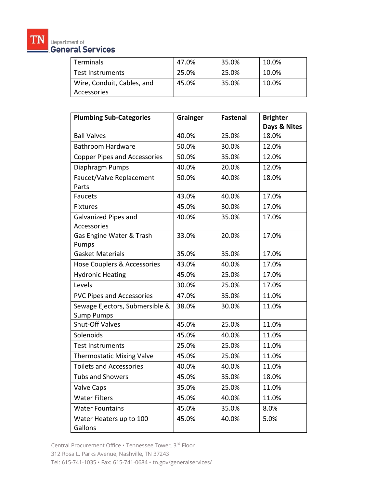

| Terminals                  | 47.0% | 35.0% | 10.0% |
|----------------------------|-------|-------|-------|
| Test Instruments           | 25.0% | 25.0% | 10.0% |
| Wire, Conduit, Cables, and | 45.0% | 35.0% | 10.0% |
| Accessories                |       |       |       |

| <b>Plumbing Sub-Categories</b>      | Grainger | <b>Fastenal</b> | <b>Brighter</b> |
|-------------------------------------|----------|-----------------|-----------------|
|                                     |          |                 | Days & Nites    |
| <b>Ball Valves</b>                  | 40.0%    | 25.0%           | 18.0%           |
| <b>Bathroom Hardware</b>            | 50.0%    | 30.0%           | 12.0%           |
| <b>Copper Pipes and Accessories</b> | 50.0%    | 35.0%           | 12.0%           |
| Diaphragm Pumps                     | 40.0%    | 20.0%           | 12.0%           |
| Faucet/Valve Replacement            | 50.0%    | 40.0%           | 18.0%           |
| Parts                               |          |                 |                 |
| <b>Faucets</b>                      | 43.0%    | 40.0%           | 17.0%           |
| <b>Fixtures</b>                     | 45.0%    | 30.0%           | 17.0%           |
| Galvanized Pipes and                | 40.0%    | 35.0%           | 17.0%           |
| Accessories                         |          |                 |                 |
| Gas Engine Water & Trash            | 33.0%    | 20.0%           | 17.0%           |
| Pumps                               |          |                 |                 |
| <b>Gasket Materials</b>             | 35.0%    | 35.0%           | 17.0%           |
| Hose Couplers & Accessories         | 43.0%    | 40.0%           | 17.0%           |
| <b>Hydronic Heating</b>             | 45.0%    | 25.0%           | 17.0%           |
| Levels                              | 30.0%    | 25.0%           | 17.0%           |
| <b>PVC Pipes and Accessories</b>    | 47.0%    | 35.0%           | 11.0%           |
| Sewage Ejectors, Submersible &      | 38.0%    | 30.0%           | 11.0%           |
| <b>Sump Pumps</b>                   |          |                 |                 |
| <b>Shut-Off Valves</b>              | 45.0%    | 25.0%           | 11.0%           |
| Solenoids                           | 45.0%    | 40.0%           | 11.0%           |
| <b>Test Instruments</b>             | 25.0%    | 25.0%           | 11.0%           |
| <b>Thermostatic Mixing Valve</b>    | 45.0%    | 25.0%           | 11.0%           |
| <b>Toilets and Accessories</b>      | 40.0%    | 40.0%           | 11.0%           |
| <b>Tubs and Showers</b>             | 45.0%    | 35.0%           | 18.0%           |
| <b>Valve Caps</b>                   | 35.0%    | 25.0%           | 11.0%           |
| <b>Water Filters</b>                | 45.0%    | 40.0%           | 11.0%           |
| <b>Water Fountains</b>              | 45.0%    | 35.0%           | 8.0%            |
| Water Heaters up to 100             | 45.0%    | 40.0%           | 5.0%            |
| Gallons                             |          |                 |                 |

Central Procurement Office • Tennessee Tower, 3<sup>rd</sup> Floor 312 Rosa L. Parks Avenue, Nashville, TN 37243 Tel: 615-741-1035 • Fax: 615-741-0684 • tn.gov/generalservices/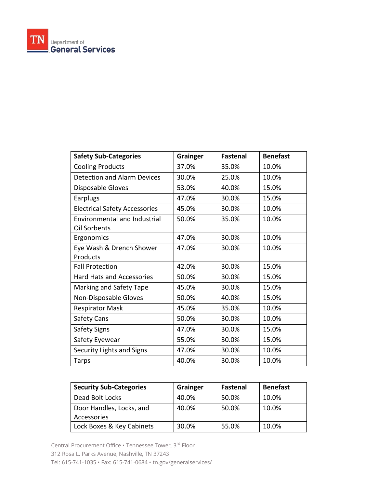

| <b>Safety Sub-Categories</b>         | Grainger | <b>Fastenal</b> | <b>Benefast</b> |
|--------------------------------------|----------|-----------------|-----------------|
| <b>Cooling Products</b>              | 37.0%    | 35.0%           | 10.0%           |
| <b>Detection and Alarm Devices</b>   | 30.0%    | 25.0%           | 10.0%           |
| Disposable Gloves                    | 53.0%    | 40.0%           | 15.0%           |
| Earplugs                             | 47.0%    | 30.0%           | 15.0%           |
| <b>Electrical Safety Accessories</b> | 45.0%    | 30.0%           | 10.0%           |
| <b>Environmental and Industrial</b>  | 50.0%    | 35.0%           | 10.0%           |
| Oil Sorbents                         |          |                 |                 |
| Ergonomics                           | 47.0%    | 30.0%           | 10.0%           |
| Eye Wash & Drench Shower             | 47.0%    | 30.0%           | 10.0%           |
| Products                             |          |                 |                 |
| <b>Fall Protection</b>               | 42.0%    | 30.0%           | 15.0%           |
| <b>Hard Hats and Accessories</b>     | 50.0%    | 30.0%           | 15.0%           |
| Marking and Safety Tape              | 45.0%    | 30.0%           | 15.0%           |
| Non-Disposable Gloves                | 50.0%    | 40.0%           | 15.0%           |
| <b>Respirator Mask</b>               | 45.0%    | 35.0%           | 10.0%           |
| <b>Safety Cans</b>                   | 50.0%    | 30.0%           | 10.0%           |
| Safety Signs                         | 47.0%    | 30.0%           | 15.0%           |
| Safety Eyewear                       | 55.0%    | 30.0%           | 15.0%           |
| Security Lights and Signs            | 47.0%    | 30.0%           | 10.0%           |
| <b>Tarps</b>                         | 40.0%    | 30.0%           | 10.0%           |

| <b>Security Sub-Categories</b>          | Grainger | <b>Fastenal</b> | <b>Benefast</b> |
|-----------------------------------------|----------|-----------------|-----------------|
| Dead Bolt Locks                         | 40.0%    | 50.0%           | 10.0%           |
| Door Handles, Locks, and<br>Accessories | 40.0%    | 50.0%           | 10.0%           |
| Lock Boxes & Key Cabinets               | 30.0%    | 55.0%           | 10.0%           |

Central Procurement Office • Tennessee Tower, 3<sup>rd</sup> Floor 312 Rosa L. Parks Avenue, Nashville, TN 37243 Tel: 615-741-1035 • Fax: 615-741-0684 • tn.gov/generalservices/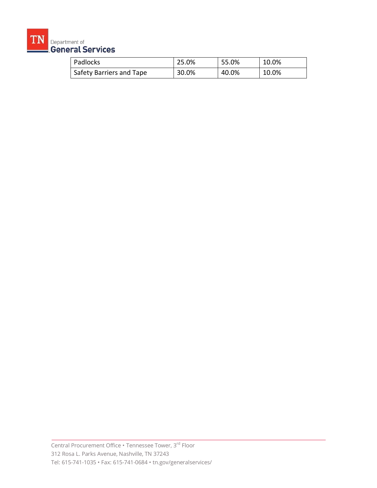

| Padlocks                        | 25.0% | 55.0% | 10.0% |
|---------------------------------|-------|-------|-------|
| <b>Safety Barriers and Tape</b> | 30.0% | 40.0% | 10.0% |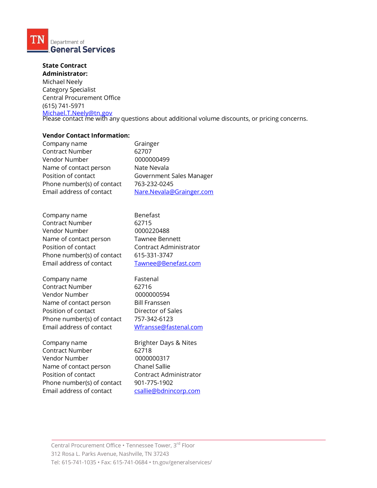

#### **State Contract Administrator:**

Michael Neely Category Specialist Central Procurement Offic[e](mailto:Douglas.Whitcomb@tn.gov) [\(615\)](mailto:Douglas.Whitcomb@tn.gov) 741-5971 [Michael.T.Neely@tn.gov](mailto:Michael.T.Neely@tn.gov) Please contact me with any questions about additional volume discounts, or pricing concerns.

### **Vendor Contact Information:**

| Company name               | Grainger                 |
|----------------------------|--------------------------|
| <b>Contract Number</b>     | 62707                    |
| Vendor Number              | 0000000499               |
| Name of contact person     | Nate Nevala              |
| Position of contact        | Government Sales Manager |
| Phone number(s) of contact | 763-232-0245             |
| Email address of contact   | Nare.Nevala@Grainger.com |
|                            |                          |

| Company name               |
|----------------------------|
| <b>Contract Number</b>     |
| Vendor Number              |
| Name of contact person     |
| Position of contact        |
| Phone number(s) of contact |
| Email address of contact   |

Company name Fastenal Contract Number 62716 Vendor Number 0000000594 Name of contact person Bill Franssen Position of contact **Director of Sales** Phone number(s) of contact 757-342-6123 Email address of contact [Wfransse@fastenal.com](mailto:Wfransse@fastenal.com)

**Benefast** 62715 0000220488 Tawnee Bennett Contract Administrator 615-331-3747 [Tawnee@Benefast.com](mailto:Tawnee@Benefast.com)

Company name Brighter Days & Nites<br>
Contract Number 62718 Contract Number Vendor Number 0000000317 Name of contact person Chanel Sallie Position of contact **Contract Administrator** Phone number(s) of contact 901-775-1902 Email address of contact [csallie@bdnincorp.com](mailto:csallie@bdnincorp.com)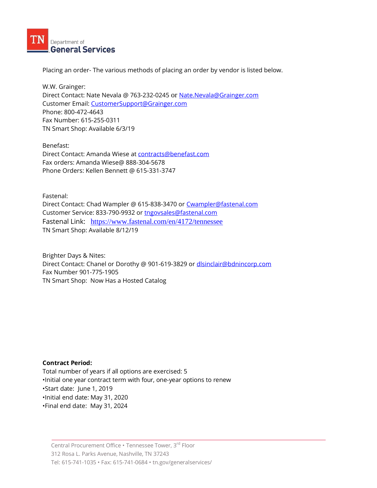

Placing an order- The various methods of placing an order by vendor is listed below.

W.W. Grainger: Direct Contact: Nate Nevala @ 763-232-0245 or [Nate.Nevala@Grainger.com](mailto:Nate.Nevala@Grainger.com) Customer Email: [CustomerSupport@Grainger.com](mailto:CustomerSupport@Grainger.com) Phone: 800-472-4643 Fax Number: 615-255-0311 TN Smart Shop: Available 6/3/19

Benefast: Direct Contact: Amanda Wiese at [contracts@benefast.com](mailto:contracts@benefast.com) Fax orders: Amanda Wiese@ 888-304-5678 Phone Orders: Kellen Bennett @ 615-331-3747

Fastenal: Direct Contact: Chad Wampler @ 615-838-3470 or [Cwampler@fastenal.com](mailto:Cwampler@fastenal.com) Customer Service: 833-790-9932 or [tngovsales@fastenal.com](mailto:tngovsales@fastenal.com) Fastenal Link: [https://www.fastenal.com/en/4172/tennessee](https://urldefense.proofpoint.com/v2/url?u=https-3A__www.fastenal.com_en_4172_tennessee&d=DwMFAg&c=9mDSiW-N7q3Jcc5YTFWHgQ&r=1-TaGhgu7Viah2h1S9uXMyMZGfrY8cZALMFHgtr4xTk&m=fjOxpvkdsQmn2KhGaSXQeWjOoeiNMLWt9NFnWO0f6i4&s=ihyTeY1lP-Dz1Laxg5Z2Nk9ViuprrgHGoM_t3wJjemI&e=) TN Smart Shop: Available 8/12/19

Brighter Days & Nites: Direct Contact: Chanel or Dorothy @ 901-619-3829 or [dlsinclair@bdnincorp.com](mailto:dlsinclair@bdnincorp.com) Fax Number 901-775-1905 TN Smart Shop: Now Has a Hosted Catalog

### **Contract Period:**

Total number of years if all options are exercised: 5 •Initial one year contract term with four, one-year options to renew •Start date: June 1, 2019 •Initial end date: May 31, 2020 •Final end date: May 31, 2024